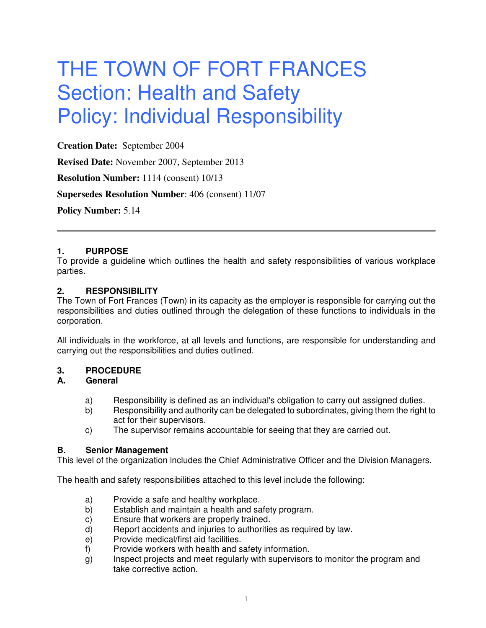# THE TOWN OF FORT FRANCES Section: Health and Safety Policy: Individual Responsibility

**Creation Date:** September 2004

**Revised Date:** November 2007, September 2013

**Resolution Number:** 1114 (consent) 10/13

**Supersedes Resolution Number**: 406 (consent) 11/07

**Policy Number:** 5.14

# **1. PURPOSE**

To provide a guideline which outlines the health and safety responsibilities of various workplace parties.

# **2. RESPONSIBILITY**

The Town of Fort Frances (Town) in its capacity as the employer is responsible for carrying out the responsibilities and duties outlined through the delegation of these functions to individuals in the corporation.

All individuals in the workforce, at all levels and functions, are responsible for understanding and carrying out the responsibilities and duties outlined.

# **3. PROCEDURE**

# **A. General**

- a) Responsibility is defined as an individual's obligation to carry out assigned duties.
- b) Responsibility and authority can be delegated to subordinates, giving them the right to act for their supervisors.
- c) The supervisor remains accountable for seeing that they are carried out.

# **B. Senior Management**

This level of the organization includes the Chief Administrative Officer and the Division Managers.

The health and safety responsibilities attached to this level include the following:

- a) Provide a safe and healthy workplace.
- b) Establish and maintain a health and safety program.
- c) Ensure that workers are properly trained.
- d) Report accidents and injuries to authorities as required by law.
- e) Provide medical/first aid facilities.
- f) Provide workers with health and safety information.
- g) Inspect projects and meet regularly with supervisors to monitor the program and take corrective action.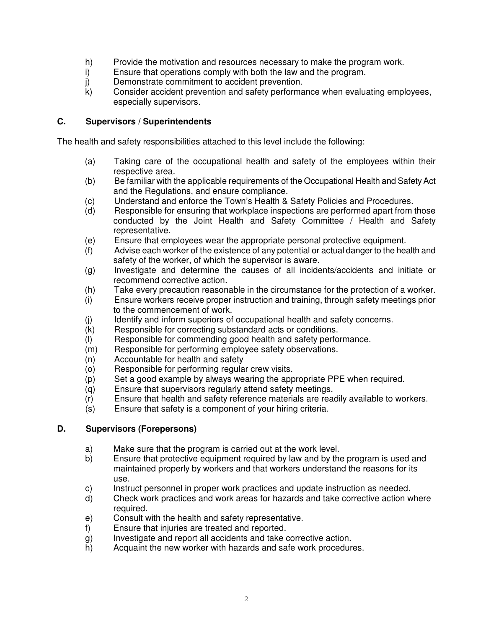- h) Provide the motivation and resources necessary to make the program work.
- i) Ensure that operations comply with both the law and the program.
- j) Demonstrate commitment to accident prevention.<br>k) Consider accident prevention and safety performa
- Consider accident prevention and safety performance when evaluating employees, especially supervisors.

# **C. Supervisors / Superintendents**

The health and safety responsibilities attached to this level include the following:

- (a) Taking care of the occupational health and safety of the employees within their respective area.
- (b) Be familiar with the applicable requirements of the Occupational Health and Safety Act and the Regulations, and ensure compliance.
- (c) Understand and enforce the Town's Health & Safety Policies and Procedures.
- (d) Responsible for ensuring that workplace inspections are performed apart from those conducted by the Joint Health and Safety Committee / Health and Safety representative.
- (e) Ensure that employees wear the appropriate personal protective equipment.
- (f) Advise each worker of the existence of any potential or actual danger to the health and safety of the worker, of which the supervisor is aware.
- (g) Investigate and determine the causes of all incidents/accidents and initiate or recommend corrective action.
- (h) Take every precaution reasonable in the circumstance for the protection of a worker.
- (i) Ensure workers receive proper instruction and training, through safety meetings prior to the commencement of work.
- (j) Identify and inform superiors of occupational health and safety concerns.
- (k) Responsible for correcting substandard acts or conditions.
- (I) Responsible for commending good health and safety performance.<br>(m) Responsible for performing employee safety observations.
- Responsible for performing employee safety observations.
- (n) Accountable for health and safety
- (o) Responsible for performing regular crew visits.
- (p) Set a good example by always wearing the appropriate PPE when required.
- (q) Ensure that supervisors regularly attend safety meetings.
- (r) Ensure that health and safety reference materials are readily available to workers.
- (s) Ensure that safety is a component of your hiring criteria.

# **D. Supervisors (Forepersons)**

- a) Make sure that the program is carried out at the work level.<br>b) Ensure that protective equipment required by law and by the
- Ensure that protective equipment required by law and by the program is used and maintained properly by workers and that workers understand the reasons for its use.
- c) Instruct personnel in proper work practices and update instruction as needed.
- d) Check work practices and work areas for hazards and take corrective action where required.
- e) Consult with the health and safety representative.
- f) Ensure that injuries are treated and reported.
- g) Investigate and report all accidents and take corrective action.
- h) Acquaint the new worker with hazards and safe work procedures.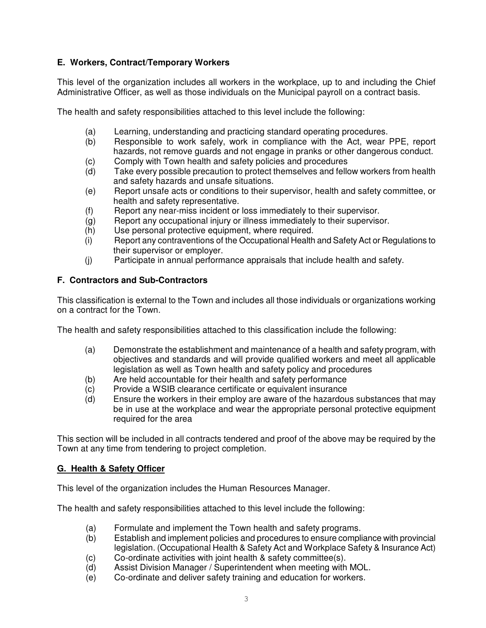# **E. Workers, Contract/Temporary Workers**

This level of the organization includes all workers in the workplace, up to and including the Chief Administrative Officer, as well as those individuals on the Municipal payroll on a contract basis.

The health and safety responsibilities attached to this level include the following:

- (a) Learning, understanding and practicing standard operating procedures.
- (b) Responsible to work safely, work in compliance with the Act, wear PPE, report hazards, not remove guards and not engage in pranks or other dangerous conduct.
- (c) Comply with Town health and safety policies and procedures
- (d) Take every possible precaution to protect themselves and fellow workers from health and safety hazards and unsafe situations.
- (e) Report unsafe acts or conditions to their supervisor, health and safety committee, or health and safety representative.
- (f) Report any near-miss incident or loss immediately to their supervisor.
- (g) Report any occupational injury or illness immediately to their supervisor.
- (h) Use personal protective equipment, where required.
- (i) Report any contraventions of the Occupational Health and Safety Act or Regulations to their supervisor or employer.
- (j) Participate in annual performance appraisals that include health and safety.

# **F. Contractors and Sub-Contractors**

This classification is external to the Town and includes all those individuals or organizations working on a contract for the Town.

The health and safety responsibilities attached to this classification include the following:

- (a) Demonstrate the establishment and maintenance of a health and safety program, with objectives and standards and will provide qualified workers and meet all applicable legislation as well as Town health and safety policy and procedures
- (b) Are held accountable for their health and safety performance
- (c) Provide a WSIB clearance certificate or equivalent insurance
- (d) Ensure the workers in their employ are aware of the hazardous substances that may be in use at the workplace and wear the appropriate personal protective equipment required for the area

This section will be included in all contracts tendered and proof of the above may be required by the Town at any time from tendering to project completion.

# **G. Health & Safety Officer**

This level of the organization includes the Human Resources Manager.

The health and safety responsibilities attached to this level include the following:

- (a) Formulate and implement the Town health and safety programs.
- (b) Establish and implement policies and procedures to ensure compliance with provincial legislation. (Occupational Health & Safety Act and Workplace Safety & Insurance Act)
- (c) Co-ordinate activities with joint health & safety committee(s).
- (d) Assist Division Manager / Superintendent when meeting with MOL.
- (e) Co-ordinate and deliver safety training and education for workers.